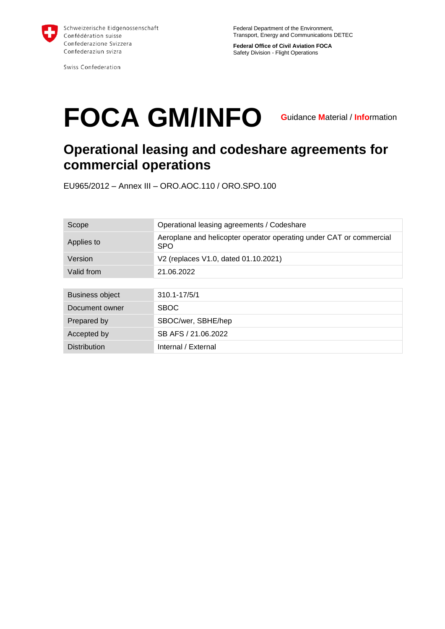

Swiss Confederation

**Federal Office of Civil Aviation FOCA** Safety Division - Flight Operations

# **FOCA GM/INFO**

**G**uidance **M**aterial / **Info**rmation

## **Operational leasing and codeshare agreements for commercial operations**

EU965/2012 – Annex III – ORO.AOC.110 / ORO.SPO.100

| Scope                  | Operational leasing agreements / Codeshare                                        |
|------------------------|-----------------------------------------------------------------------------------|
| Applies to             | Aeroplane and helicopter operator operating under CAT or commercial<br><b>SPO</b> |
| Version                | V2 (replaces V1.0, dated 01.10.2021)                                              |
| Valid from             | 21.06.2022                                                                        |
|                        |                                                                                   |
| <b>Business object</b> | $310.1 - 17/5/1$                                                                  |
| Document owner         | <b>SBOC</b>                                                                       |
| Prepared by            | SBOC/wer, SBHE/hep                                                                |
| Accepted by            | SB AFS / 21.06.2022                                                               |
| <b>Distribution</b>    | Internal / External                                                               |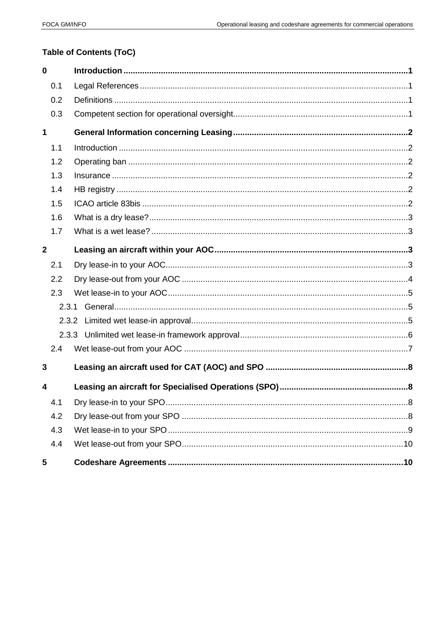#### Table of Contents (ToC)

| $\mathbf 0$  |       |  |
|--------------|-------|--|
|              | 0.1   |  |
|              | 0.2   |  |
|              | 0.3   |  |
| 1            |       |  |
|              | 1.1   |  |
|              | 1.2   |  |
|              | 1.3   |  |
|              | 1.4   |  |
|              | 1.5   |  |
|              | 1.6   |  |
|              | 1.7   |  |
| $\mathbf{2}$ |       |  |
|              | 2.1   |  |
|              | 2.2   |  |
|              | 2.3   |  |
|              | 2.3.1 |  |
|              |       |  |
|              |       |  |
|              | 2.4   |  |
| 3            |       |  |
| 4            |       |  |
|              | 4.1   |  |
|              | 4.2   |  |
|              | 4.3   |  |
|              | 4.4   |  |
| 5            |       |  |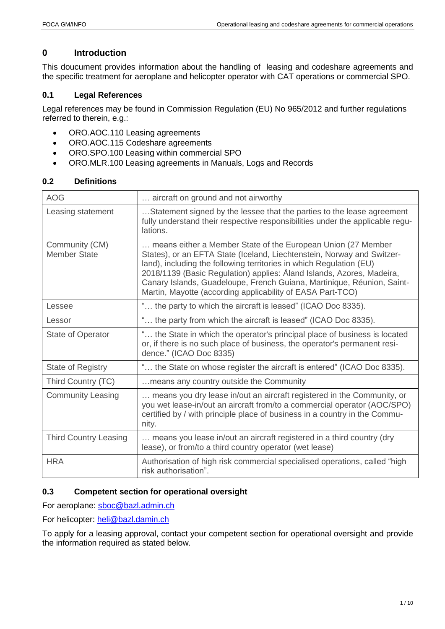### <span id="page-2-0"></span>**0 Introduction**

This doucument provides information about the handling of leasing and codeshare agreements and the specific treatment for aeroplane and helicopter operator with CAT operations or commercial SPO.

#### <span id="page-2-1"></span>**0.1 Legal References**

Legal references may be found in Commission Regulation (EU) No 965/2012 and further regulations referred to therein, e.g.:

- ORO.AOC.110 Leasing agreements
- ORO.AOC.115 Codeshare agreements
- ORO.SPO.100 Leasing within commercial SPO
- ORO.MLR.100 Leasing agreements in Manuals, Logs and Records

| <b>AOG</b>                            | aircraft on ground and not airworthy                                                                                                                                                                                                                                                                                                                                                                                           |
|---------------------------------------|--------------------------------------------------------------------------------------------------------------------------------------------------------------------------------------------------------------------------------------------------------------------------------------------------------------------------------------------------------------------------------------------------------------------------------|
| Leasing statement                     | Statement signed by the lessee that the parties to the lease agreement<br>fully understand their respective responsibilities under the applicable regu-<br>lations.                                                                                                                                                                                                                                                            |
| Community (CM)<br><b>Member State</b> | means either a Member State of the European Union (27 Member<br>States), or an EFTA State (Iceland, Liechtenstein, Norway and Switzer-<br>land), including the following territories in which Regulation (EU)<br>2018/1139 (Basic Regulation) applies: Åland Islands, Azores, Madeira,<br>Canary Islands, Guadeloupe, French Guiana, Martinique, Réunion, Saint-<br>Martin, Mayotte (according applicability of EASA Part-TCO) |
| Lessee                                | " the party to which the aircraft is leased" (ICAO Doc 8335).                                                                                                                                                                                                                                                                                                                                                                  |
| Lessor                                | " the party from which the aircraft is leased" (ICAO Doc 8335).                                                                                                                                                                                                                                                                                                                                                                |
| State of Operator                     | " the State in which the operator's principal place of business is located<br>or, if there is no such place of business, the operator's permanent resi-<br>dence." (ICAO Doc 8335)                                                                                                                                                                                                                                             |
| <b>State of Registry</b>              | " the State on whose register the aircraft is entered" (ICAO Doc 8335).                                                                                                                                                                                                                                                                                                                                                        |
| Third Country (TC)                    | means any country outside the Community                                                                                                                                                                                                                                                                                                                                                                                        |
| <b>Community Leasing</b>              | means you dry lease in/out an aircraft registered in the Community, or<br>you wet lease-in/out an aircraft from/to a commercial operator (AOC/SPO)<br>certified by / with principle place of business in a country in the Commu-<br>nity.                                                                                                                                                                                      |
| <b>Third Country Leasing</b>          | means you lease in/out an aircraft registered in a third country (dry<br>lease), or from/to a third country operator (wet lease)                                                                                                                                                                                                                                                                                               |
| <b>HRA</b>                            | Authorisation of high risk commercial specialised operations, called "high<br>risk authorisation".                                                                                                                                                                                                                                                                                                                             |

#### <span id="page-2-2"></span>**0.2 Definitions**

#### <span id="page-2-3"></span>**0.3 Competent section for operational oversight**

For aeroplane: [sboc@bazl.admin.ch](mailto:sboc@bazl.admin.ch)

For helicopter: [heli@bazl.damin.ch](mailto:heli@bazl.damin.ch)

To apply for a leasing approval, contact your competent section for operational oversight and provide the information required as stated below.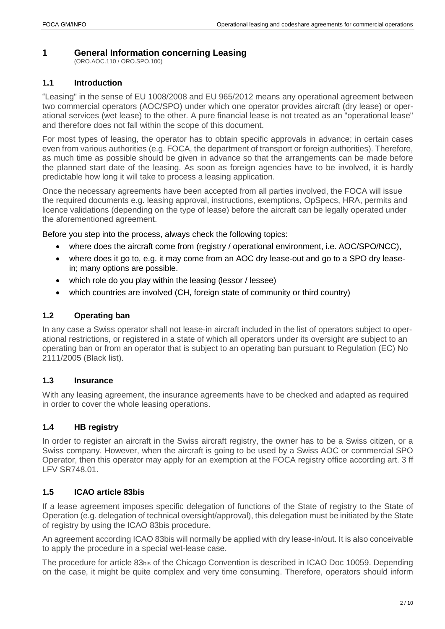#### <span id="page-3-0"></span>**1 General Information concerning Leasing**

(ORO.AOC.110 / ORO.SPO.100)

#### <span id="page-3-1"></span>**1.1 Introduction**

"Leasing" in the sense of EU 1008/2008 and EU 965/2012 means any operational agreement between two commercial operators (AOC/SPO) under which one operator provides aircraft (dry lease) or operational services (wet lease) to the other. A pure financial lease is not treated as an "operational lease" and therefore does not fall within the scope of this document.

For most types of leasing, the operator has to obtain specific approvals in advance; in certain cases even from various authorities (e.g. FOCA, the department of transport or foreign authorities). Therefore, as much time as possible should be given in advance so that the arrangements can be made before the planned start date of the leasing. As soon as foreign agencies have to be involved, it is hardly predictable how long it will take to process a leasing application.

Once the necessary agreements have been accepted from all parties involved, the FOCA will issue the required documents e.g. leasing approval, instructions, exemptions, OpSpecs, HRA, permits and licence validations (depending on the type of lease) before the aircraft can be legally operated under the aforementioned agreement.

Before you step into the process, always check the following topics:

- where does the aircraft come from (registry / operational environment, i.e. AOC/SPO/NCC),
- where does it go to, e.g. it may come from an AOC dry lease-out and go to a SPO dry leasein; many options are possible.
- which role do you play within the leasing (lessor / lessee)
- which countries are involved (CH, foreign state of community or third country)

#### <span id="page-3-2"></span>**1.2 Operating ban**

In any case a Swiss operator shall not lease-in aircraft included in the list of operators subject to operational restrictions, or registered in a state of which all operators under its oversight are subject to an operating ban or from an operator that is subject to an operating ban pursuant to Regulation (EC) No 2111/2005 (Black list).

#### <span id="page-3-3"></span>**1.3 Insurance**

With any leasing agreement, the insurance agreements have to be checked and adapted as required in order to cover the whole leasing operations.

#### <span id="page-3-4"></span>**1.4 HB registry**

In order to register an aircraft in the Swiss aircraft registry, the owner has to be a Swiss citizen, or a Swiss company. However, when the aircraft is going to be used by a Swiss AOC or commercial SPO Operator, then this operator may apply for an exemption at the FOCA registry office according art. 3 ff LFV SR748.01.

#### <span id="page-3-5"></span>**1.5 ICAO article 83bis**

If a lease agreement imposes specific delegation of functions of the State of registry to the State of Operation (e.g. delegation of technical oversight/approval), this delegation must be initiated by the State of registry by using the ICAO 83bis procedure.

An agreement according ICAO 83bis will normally be applied with dry lease-in/out. It is also conceivable to apply the procedure in a special wet-lease case.

The procedure for article 83bis of the Chicago Convention is described in ICAO Doc 10059. Depending on the case, it might be quite complex and very time consuming. Therefore, operators should inform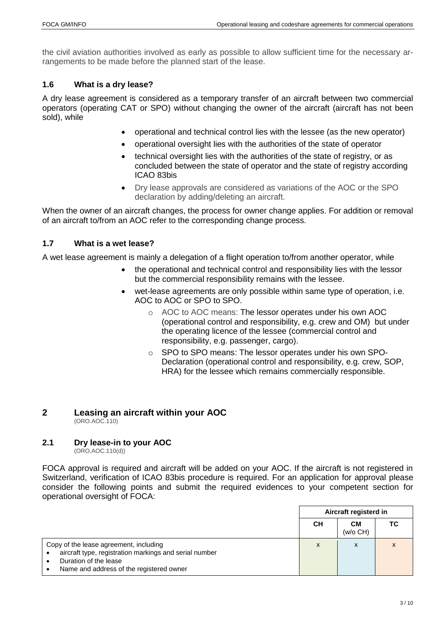the civil aviation authorities involved as early as possible to allow sufficient time for the necessary arrangements to be made before the planned start of the lease.

#### <span id="page-4-0"></span>**1.6 What is a dry lease?**

A dry lease agreement is considered as a temporary transfer of an aircraft between two commercial operators (operating CAT or SPO) without changing the owner of the aircraft (aircraft has not been sold), while

- operational and technical control lies with the lessee (as the new operator)
- operational oversight lies with the authorities of the state of operator
- technical oversight lies with the authorities of the state of registry, or as concluded between the state of operator and the state of registry according ICAO 83bis
- Dry lease approvals are considered as variations of the AOC or the SPO declaration by adding/deleting an aircraft.

When the owner of an aircraft changes, the process for owner change applies. For addition or removal of an aircraft to/from an AOC refer to the corresponding change process.

#### <span id="page-4-1"></span>**1.7 What is a wet lease?**

A wet lease agreement is mainly a delegation of a flight operation to/from another operator, while

- the operational and technical control and responsibility lies with the lessor but the commercial responsibility remains with the lessee.
- wet-lease agreements are only possible within same type of operation, i.e. AOC to AOC or SPO to SPO.
	- o AOC to AOC means: The lessor operates under his own AOC (operational control and responsibility, e.g. crew and OM) but under the operating licence of the lessee (commercial control and responsibility, e.g. passenger, cargo).
	- o SPO to SPO means: The lessor operates under his own SPO-Declaration (operational control and responsibility, e.g. crew, SOP, HRA) for the lessee which remains commercially responsible.

#### <span id="page-4-2"></span>**2 Leasing an aircraft within your AOC** (ORO.AOC.110)

#### <span id="page-4-3"></span>**2.1 Dry lease-in to your AOC**

(ORO.AOC.110(d))

FOCA approval is required and aircraft will be added on your AOC. If the aircraft is not registered in Switzerland, verification of ICAO 83bis procedure is required. For an application for approval please consider the following points and submit the required evidences to your competent section for operational oversight of FOCA:

|                                                                                                                                                                       | Aircraft registerd in |                |    |
|-----------------------------------------------------------------------------------------------------------------------------------------------------------------------|-----------------------|----------------|----|
|                                                                                                                                                                       | CН                    | CМ<br>(w/o CH) | ТC |
| Copy of the lease agreement, including<br>aircraft type, registration markings and serial number<br>Duration of the lease<br>Name and address of the registered owner | X                     | x              | X  |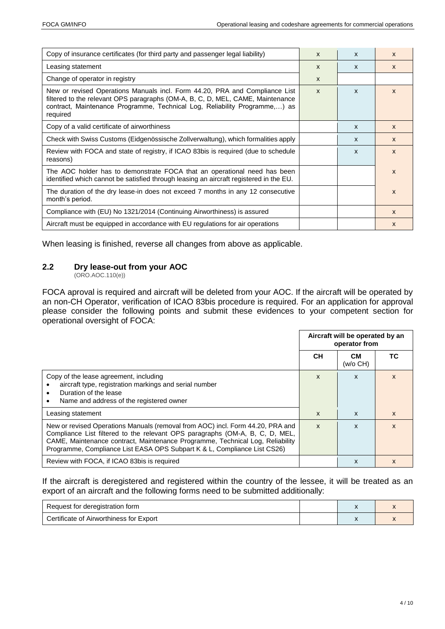| Copy of insurance certificates (for third party and passenger legal liability)                                                                                                                                                                          | $\mathsf{x}$ | $\mathsf{x}$ | $\mathsf{x}$ |
|---------------------------------------------------------------------------------------------------------------------------------------------------------------------------------------------------------------------------------------------------------|--------------|--------------|--------------|
| Leasing statement                                                                                                                                                                                                                                       | $\mathsf{x}$ | $\mathsf{x}$ | $\mathsf{x}$ |
| Change of operator in registry                                                                                                                                                                                                                          | $\mathsf{x}$ |              |              |
| New or revised Operations Manuals incl. Form 44.20, PRA and Compliance List<br>filtered to the relevant OPS paragraphs (OM-A, B, C, D, MEL, CAME, Maintenance<br>contract, Maintenance Programme, Technical Log, Reliability Programme,) as<br>required | $\mathsf{x}$ | X            | X            |
| Copy of a valid certificate of airworthiness                                                                                                                                                                                                            |              | $\mathsf{x}$ | $\mathbf{x}$ |
| Check with Swiss Customs (Eidgenössische Zollverwaltung), which formalities apply                                                                                                                                                                       |              | $\mathsf{x}$ | $\mathsf{x}$ |
| Review with FOCA and state of registry, if ICAO 83bis is required (due to schedule<br>reasons)                                                                                                                                                          |              | X            | $\mathbf{x}$ |
| The AOC holder has to demonstrate FOCA that an operational need has been<br>identified which cannot be satisfied through leasing an aircraft registered in the EU.                                                                                      |              |              | $\mathsf{x}$ |
| The duration of the dry lease-in does not exceed 7 months in any 12 consecutive<br>month's period.                                                                                                                                                      |              |              | X            |
| Compliance with (EU) No 1321/2014 (Continuing Airworthiness) is assured                                                                                                                                                                                 |              |              | $\mathsf{x}$ |
| Aircraft must be equipped in accordance with EU regulations for air operations                                                                                                                                                                          |              |              | X            |

When leasing is finished, reverse all changes from above as applicable.

#### <span id="page-5-0"></span>**2.2 Dry lease-out from your AOC**

(ORO.AOC.110(e))

FOCA aproval is required and aircraft will be deleted from your AOC. If the aircraft will be operated by an non-CH Operator, verification of ICAO 83bis procedure is required. For an application for approval please consider the following points and submit these evidences to your competent section for operational oversight of FOCA:

|                                                                                                                                                                                                                                                                                                                             | Aircraft will be operated by an<br>operator from |                |              |
|-----------------------------------------------------------------------------------------------------------------------------------------------------------------------------------------------------------------------------------------------------------------------------------------------------------------------------|--------------------------------------------------|----------------|--------------|
|                                                                                                                                                                                                                                                                                                                             | <b>CH</b>                                        | CМ<br>(w/o CH) | ТC           |
| Copy of the lease agreement, including<br>aircraft type, registration markings and serial number<br>Duration of the lease<br>٠<br>Name and address of the registered owner<br>٠                                                                                                                                             | $\mathsf{x}$                                     | $\mathsf{x}$   | $\mathsf{x}$ |
| Leasing statement                                                                                                                                                                                                                                                                                                           | $\mathsf{x}$                                     | $\mathsf{x}$   | $\mathsf{x}$ |
| New or revised Operations Manuals (removal from AOC) incl. Form 44.20, PRA and<br>Compliance List filtered to the relevant OPS paragraphs (OM-A, B, C, D, MEL,<br>CAME, Maintenance contract, Maintenance Programme, Technical Log, Reliability<br>Programme, Compliance List EASA OPS Subpart K & L, Compliance List CS26) | $\mathsf{x}$                                     | x              | X            |
| Review with FOCA, if ICAO 83bis is required                                                                                                                                                                                                                                                                                 |                                                  | x              | X            |

If the aircraft is deregistered and registered within the country of the lessee, it will be treated as an export of an aircraft and the following forms need to be submitted additionally:

| Request for deregistration form         |  |  |
|-----------------------------------------|--|--|
| Certificate of Airworthiness for Export |  |  |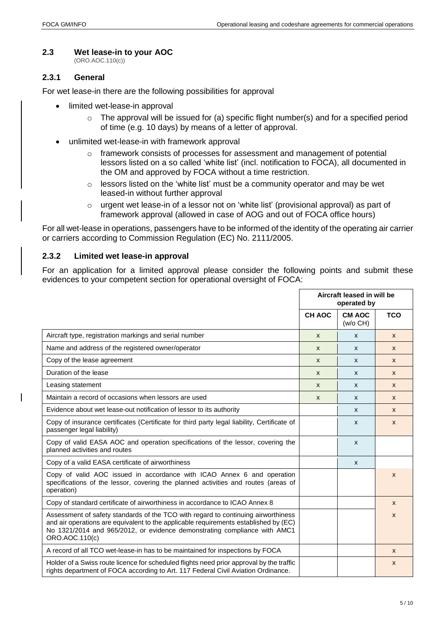#### <span id="page-6-0"></span>**2.3 Wet lease-in to your AOC**

(ORO.AOC.110(c))

#### <span id="page-6-1"></span>**2.3.1 General**

 $\overline{\phantom{a}}$ 

For wet lease-in there are the following possibilities for approval

- limited wet-lease-in approval
	- $\circ$  The approval will be issued for (a) specific flight number(s) and for a specified period of time (e.g. 10 days) by means of a letter of approval.
- unlimited wet-lease-in with framework approval
	- $\circ$  framework consists of processes for assessment and management of potential lessors listed on a so called 'white list' (incl. notification to FOCA), all documented in the OM and approved by FOCA without a time restriction.
	- o lessors listed on the 'white list' must be a community operator and may be wet leased-in without further approval
	- $\circ$  urgent wet lease-in of a lessor not on 'white list' (provisional approval) as part of framework approval (allowed in case of AOG and out of FOCA office hours)

For all wet-lease in operations, passengers have to be informed of the identity of the operating air carrier or carriers according to Commission Regulation (EC) No. 2111/2005.

#### <span id="page-6-2"></span>**2.3.2 Limited wet lease-in approval**

For an application for a limited approval please consider the following points and submit these evidences to your competent section for operational oversight of FOCA:

|                                                                                                                                                                                                                                                                          |               | Aircraft leased in will be<br>operated by |              |
|--------------------------------------------------------------------------------------------------------------------------------------------------------------------------------------------------------------------------------------------------------------------------|---------------|-------------------------------------------|--------------|
|                                                                                                                                                                                                                                                                          | <b>CH AOC</b> | <b>CM AOC</b><br>(w/o CH)                 | <b>TCO</b>   |
| Aircraft type, registration markings and serial number                                                                                                                                                                                                                   | $\mathsf{x}$  | X                                         | $\mathsf{x}$ |
| Name and address of the registered owner/operator                                                                                                                                                                                                                        | X             | X                                         | $\mathsf{x}$ |
| Copy of the lease agreement                                                                                                                                                                                                                                              | $\mathsf{x}$  | X                                         | $\mathsf{x}$ |
| Duration of the lease                                                                                                                                                                                                                                                    | $\mathsf{x}$  | X                                         | $\mathsf{x}$ |
| Leasing statement                                                                                                                                                                                                                                                        | X             | X                                         | $\mathsf{x}$ |
| Maintain a record of occasions when lessors are used                                                                                                                                                                                                                     | X             | X                                         | $\mathsf{x}$ |
| Evidence about wet lease-out notification of lessor to its authority                                                                                                                                                                                                     |               | X                                         | $\mathsf{x}$ |
| Copy of insurance certificates (Certificate for third party legal liability, Certificate of<br>passenger legal liability)                                                                                                                                                |               | X                                         | $\mathsf{x}$ |
| Copy of valid EASA AOC and operation specifications of the lessor, covering the<br>planned activities and routes                                                                                                                                                         |               | X                                         |              |
| Copy of a valid EASA certificate of airworthiness                                                                                                                                                                                                                        |               | X                                         |              |
| Copy of valid AOC issued in accordance with ICAO Annex 6 and operation<br>specifications of the lessor, covering the planned activities and routes (areas of<br>operation)                                                                                               |               |                                           | $\mathsf{x}$ |
| Copy of standard certificate of airworthiness in accordance to ICAO Annex 8                                                                                                                                                                                              |               |                                           | $\mathsf{x}$ |
| Assessment of safety standards of the TCO with regard to continuing airworthiness<br>and air operations are equivalent to the applicable requirements established by (EC)<br>No 1321/2014 and 965/2012, or evidence demonstrating compliance with AMC1<br>ORO.AOC.110(c) |               |                                           | $\mathsf{x}$ |
| A record of all TCO wet-lease-in has to be maintained for inspections by FOCA                                                                                                                                                                                            |               |                                           | $\mathsf{x}$ |
| Holder of a Swiss route licence for scheduled flights need prior approval by the traffic<br>rights department of FOCA according to Art. 117 Federal Civil Aviation Ordinance.                                                                                            |               |                                           | X            |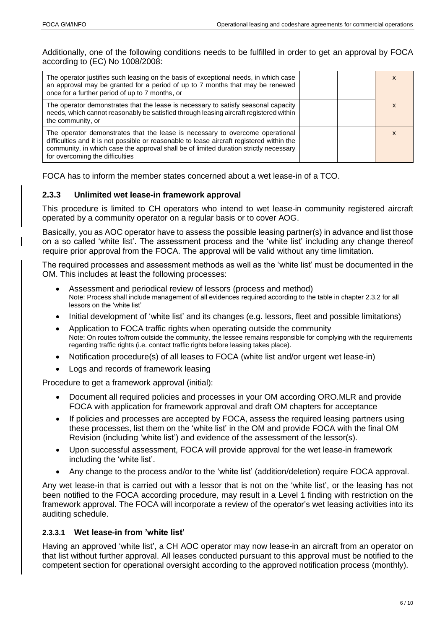Additionally, one of the following conditions needs to be fulfilled in order to get an approval by FOCA according to (EC) No 1008/2008:

| The operator justifies such leasing on the basis of exceptional needs, in which case<br>an approval may be granted for a period of up to 7 months that may be renewed<br>once for a further period of up to 7 months, or                                                                               |  | X |
|--------------------------------------------------------------------------------------------------------------------------------------------------------------------------------------------------------------------------------------------------------------------------------------------------------|--|---|
| The operator demonstrates that the lease is necessary to satisfy seasonal capacity<br>needs, which cannot reasonably be satisfied through leasing aircraft registered within<br>the community, or                                                                                                      |  |   |
| The operator demonstrates that the lease is necessary to overcome operational<br>difficulties and it is not possible or reasonable to lease aircraft registered within the<br>community, in which case the approval shall be of limited duration strictly necessary<br>for overcoming the difficulties |  |   |

FOCA has to inform the member states concerned about a wet lease-in of a TCO.

#### <span id="page-7-0"></span>**2.3.3 Unlimited wet lease-in framework approval**

This procedure is limited to CH operators who intend to wet lease-in community registered aircraft operated by a community operator on a regular basis or to cover AOG.

Basically, you as AOC operator have to assess the possible leasing partner(s) in advance and list those on a so called 'white list'. The assessment process and the 'white list' including any change thereof require prior approval from the FOCA. The approval will be valid without any time limitation.

The required processes and assessment methods as well as the 'white list' must be documented in the OM. This includes at least the following processes:

- Assessment and periodical review of lessors (process and method) Note: Process shall include management of all evidences required according to the table in chapter [2.3.2](#page-6-2) for all lessors on the 'white list'
- Initial development of 'white list' and its changes (e.g. lessors, fleet and possible limitations)
- Application to FOCA traffic rights when operating outside the community Note: On routes to/from outside the community, the lessee remains responsible for complying with the requirements regarding traffic rights (i.e. contact traffic rights before leasing takes place).
- Notification procedure(s) of all leases to FOCA (white list and/or urgent wet lease-in)
- Logs and records of framework leasing

Procedure to get a framework approval (initial):

- Document all required policies and processes in your OM according ORO.MLR and provide FOCA with application for framework approval and draft OM chapters for acceptance
- If policies and processes are accepted by FOCA, assess the required leasing partners using these processes, list them on the 'white list' in the OM and provide FOCA with the final OM Revision (including 'white list') and evidence of the assessment of the lessor(s).
- Upon successful assessment, FOCA will provide approval for the wet lease-in framework including the 'white list'.
- Any change to the process and/or to the 'white list' (addition/deletion) require FOCA approval.

Any wet lease-in that is carried out with a lessor that is not on the 'white list', or the leasing has not been notified to the FOCA according procedure, may result in a Level 1 finding with restriction on the framework approval. The FOCA will incorporate a review of the operator's wet leasing activities into its auditing schedule.

#### **2.3.3.1 Wet lease-in from 'white list'**

Having an approved 'white list', a CH AOC operator may now lease-in an aircraft from an operator on that list without further approval. All leases conducted pursuant to this approval must be notified to the competent section for operational oversight according to the approved notification process (monthly).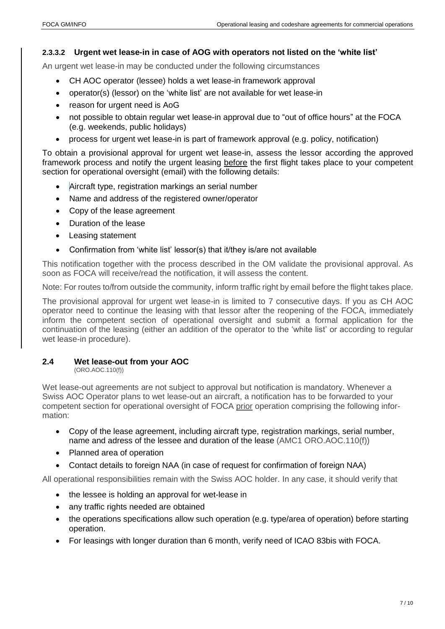#### **2.3.3.2 Urgent wet lease-in in case of AOG with operators not listed on the 'white list'**

An urgent wet lease-in may be conducted under the following circumstances

- CH AOC operator (lessee) holds a wet lease-in framework approval
- operator(s) (lessor) on the 'white list' are not available for wet lease-in
- reason for urgent need is AoG
- not possible to obtain regular wet lease-in approval due to "out of office hours" at the FOCA (e.g. weekends, public holidays)
- process for urgent wet lease-in is part of framework approval (e.g. policy, notification)

To obtain a provisional approval for urgent wet lease-in, assess the lessor according the approved framework process and notify the urgent leasing before the first flight takes place to your competent section for operational oversight (email) with the following details:

- Aircraft type, registration markings an serial number
- Name and address of the registered owner/operator
- Copy of the lease agreement
- Duration of the lease
- Leasing statement
- Confirmation from 'white list' lessor(s) that it/they is/are not available

This notification together with the process described in the OM validate the provisional approval. As soon as FOCA will receive/read the notification, it will assess the content.

Note: For routes to/from outside the community, inform traffic right by email before the flight takes place.

The provisional approval for urgent wet lease-in is limited to 7 consecutive days. If you as CH AOC operator need to continue the leasing with that lessor after the reopening of the FOCA, immediately inform the competent section of operational oversight and submit a formal application for the continuation of the leasing (either an addition of the operator to the 'white list' or according to regular wet lease-in procedure).

#### <span id="page-8-0"></span>**2.4 Wet lease-out from your AOC**

(ORO.AOC.110(f))

Wet lease-out agreements are not subject to approval but notification is mandatory. Whenever a Swiss AOC Operator plans to wet lease-out an aircraft, a notification has to be forwarded to your competent section for operational oversight of FOCA prior operation comprising the following information:

- Copy of the lease agreement, including aircraft type, registration markings, serial number, name and adress of the lessee and duration of the lease (AMC1 ORO.AOC.110(f))
- Planned area of operation
- Contact details to foreign NAA (in case of request for confirmation of foreign NAA)

All operational responsibilities remain with the Swiss AOC holder. In any case, it should verify that

- the lessee is holding an approval for wet-lease in
- any traffic rights needed are obtained
- the operations specifications allow such operation (e.g. type/area of operation) before starting operation.
- For leasings with longer duration than 6 month, verify need of ICAO 83bis with FOCA.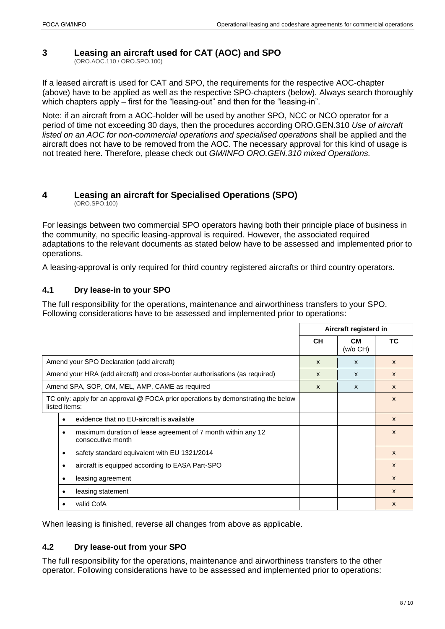### <span id="page-9-0"></span>**3 Leasing an aircraft used for CAT (AOC) and SPO**

(ORO.AOC.110 / ORO.SPO.100)

If a leased aircraft is used for CAT and SPO, the requirements for the respective AOC-chapter (above) have to be applied as well as the respective SPO-chapters (below). Always search thoroughly which chapters apply – first for the "leasing-out" and then for the "leasing-in".

Note: if an aircraft from a AOC-holder will be used by another SPO, NCC or NCO operator for a period of time not exceeding 30 days, then the procedures according ORO.GEN.310 *Use of aircraft listed on an AOC for non-commercial operations and specialised operations* shall be applied and the aircraft does not have to be removed from the AOC. The necessary approval for this kind of usage is not treated here. Therefore, please check out *GM/INFO ORO.GEN.310 mixed Operations.*

#### <span id="page-9-1"></span>**4 Leasing an aircraft for Specialised Operations (SPO)** (ORO.SPO.100)

For leasings between two commercial SPO operators having both their principle place of business in the community, no specific leasing-approval is required. However, the associated required adaptations to the relevant documents as stated below have to be assessed and implemented prior to operations.

A leasing-approval is only required for third country registered aircrafts or third country operators.

#### <span id="page-9-2"></span>**4.1 Dry lease-in to your SPO**

The full responsibility for the operations, maintenance and airworthiness transfers to your SPO. Following considerations have to be assessed and implemented prior to operations:

|                                                                                                    | Aircraft registerd in |                |              |
|----------------------------------------------------------------------------------------------------|-----------------------|----------------|--------------|
|                                                                                                    | <b>CH</b>             | CМ<br>(w/o CH) | ТC           |
| Amend your SPO Declaration (add aircraft)                                                          | $\mathbf{x}$          | $\mathsf{x}$   | $\mathsf{x}$ |
| Amend your HRA (add aircraft) and cross-border authorisations (as required)                        | $\mathsf{x}$          | $\mathsf{x}$   | $\mathsf{x}$ |
| Amend SPA, SOP, OM, MEL, AMP, CAME as required                                                     | $\mathsf{x}$          | $\mathsf{x}$   | $\mathsf{x}$ |
| TC only: apply for an approval @ FOCA prior operations by demonstrating the below<br>listed items: |                       |                | $\mathsf{x}$ |
| evidence that no EU-aircraft is available                                                          |                       |                | $\mathsf{x}$ |
| maximum duration of lease agreement of 7 month within any 12<br>٠<br>consecutive month             |                       |                | $\mathsf{x}$ |
| safety standard equivalent with EU 1321/2014<br>٠                                                  |                       |                | $\mathsf{x}$ |
| aircraft is equipped according to EASA Part-SPO                                                    |                       |                | $\mathsf{x}$ |
| leasing agreement<br>٠                                                                             |                       |                | $\mathsf{x}$ |
| leasing statement                                                                                  |                       |                | $\mathsf{x}$ |
| valid CofA                                                                                         |                       |                | $\mathsf{x}$ |

When leasing is finished, reverse all changes from above as applicable.

#### <span id="page-9-3"></span>**4.2 Dry lease-out from your SPO**

The full responsibility for the operations, maintenance and airworthiness transfers to the other operator. Following considerations have to be assessed and implemented prior to operations: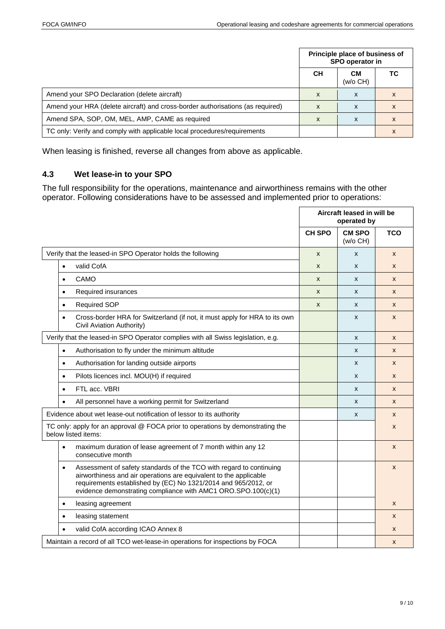|                                                                                |           | Principle place of business of<br>SPO operator in |    |
|--------------------------------------------------------------------------------|-----------|---------------------------------------------------|----|
|                                                                                | <b>CH</b> | CМ<br>(w/o CH)                                    | ТC |
| Amend your SPO Declaration (delete aircraft)                                   | x         | x                                                 |    |
| Amend your HRA (delete aircraft) and cross-border authorisations (as required) | X         | x                                                 |    |
| Amend SPA, SOP, OM, MEL, AMP, CAME as required                                 | X         | x                                                 | X  |
| TC only: Verify and comply with applicable local procedures/requirements       |           |                                                   | X  |

When leasing is finished, reverse all changes from above as applicable.

#### <span id="page-10-0"></span>**4.3 Wet lease-in to your SPO**

The full responsibility for the operations, maintenance and airworthiness remains with the other operator. Following considerations have to be assessed and implemented prior to operations:

|                                                                                                                                                                                                                                                                                          | Aircraft leased in will be<br>operated by |                           |              |
|------------------------------------------------------------------------------------------------------------------------------------------------------------------------------------------------------------------------------------------------------------------------------------------|-------------------------------------------|---------------------------|--------------|
|                                                                                                                                                                                                                                                                                          | <b>CH SPO</b>                             | <b>CM SPO</b><br>(w/o CH) | <b>TCO</b>   |
| Verify that the leased-in SPO Operator holds the following                                                                                                                                                                                                                               | X                                         | $\mathsf{x}$              | $\mathsf{x}$ |
| valid CofA<br>$\bullet$                                                                                                                                                                                                                                                                  | X                                         | X                         | X            |
| CAMO<br>$\bullet$                                                                                                                                                                                                                                                                        | X                                         | X                         | X            |
| Required insurances<br>$\bullet$                                                                                                                                                                                                                                                         | $\mathsf{x}$                              | X                         | X            |
| <b>Required SOP</b><br>$\bullet$                                                                                                                                                                                                                                                         | X                                         | X                         | X            |
| Cross-border HRA for Switzerland (if not, it must apply for HRA to its own<br>$\bullet$<br>Civil Aviation Authority)                                                                                                                                                                     |                                           | X                         | X            |
| Verify that the leased-in SPO Operator complies with all Swiss legislation, e.g.                                                                                                                                                                                                         |                                           | X                         | X            |
| Authorisation to fly under the minimum altitude<br>$\bullet$                                                                                                                                                                                                                             |                                           | X                         | X            |
| Authorisation for landing outside airports<br>$\bullet$                                                                                                                                                                                                                                  |                                           | X                         | X            |
| Pilots licences incl. MOU(H) if required<br>$\bullet$                                                                                                                                                                                                                                    |                                           | X                         | X            |
| FTL acc. VBRI<br>$\bullet$                                                                                                                                                                                                                                                               |                                           | X                         | X            |
| All personnel have a working permit for Switzerland<br>$\bullet$                                                                                                                                                                                                                         |                                           | X                         | $\mathsf{x}$ |
| Evidence about wet lease-out notification of lessor to its authority                                                                                                                                                                                                                     |                                           | X                         | X            |
| TC only: apply for an approval @ FOCA prior to operations by demonstrating the<br>below listed items:                                                                                                                                                                                    |                                           |                           | X            |
| maximum duration of lease agreement of 7 month within any 12<br>$\bullet$<br>consecutive month                                                                                                                                                                                           |                                           |                           | $\mathsf{x}$ |
| Assessment of safety standards of the TCO with regard to continuing<br>$\bullet$<br>airworthiness and air operations are equivalent to the applicable<br>requirements established by (EC) No 1321/2014 and 965/2012, or<br>evidence demonstrating compliance with AMC1 ORO.SPO.100(c)(1) |                                           |                           | X            |
| leasing agreement<br>$\bullet$                                                                                                                                                                                                                                                           |                                           |                           | X            |
| leasing statement                                                                                                                                                                                                                                                                        |                                           |                           | X            |
| valid CofA according ICAO Annex 8                                                                                                                                                                                                                                                        |                                           |                           | X            |
| Maintain a record of all TCO wet-lease-in operations for inspections by FOCA                                                                                                                                                                                                             |                                           |                           | X            |